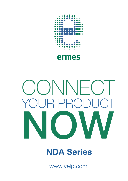

## ermes

# ONNFC  $\mathsf P$  $\begin{pmatrix} 1 & 1 \\ 1 & 1 \end{pmatrix}$

# **NDA Series**

www.velp.com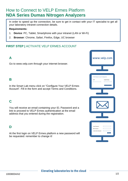### How to Connect to VELP Ermes Platform **NDA Series Dumas Nitrogen Analyzers**

In order to speed up the connection, be sure to get in contact with your IT specialist to get all your laboratory intranet connection details.

#### **Requirements:**

- 1. **Device**: PC, Tablet, Smartphone with your intranet (LAN or Wi-Fi)
- 2. **Browser**: Chrome, Safari, Firefox, Edge, UC browser

#### **FIRST STEP |** ACTIVATE VELP ERMES ACCOUNT

#### **A**

Go to www.velp.com through your internet browser.

#### **B**

In the Smart Lab menu click on "Configure Your VELP Ermes Account". Fill in the form and accept Terms and Conditions.

#### **C**

You will receive an email containing your ID, Password and a link to proceed to VELP Ermes authentication at the email address that you entered during the registration.

#### **D**

At the first login on VELP Ermes platform a new password will be requested: remember to change it!



#### **Elevating laboratories to the cloud**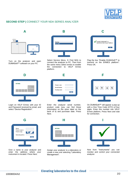

#### **SECOND STEP |** CONNECT YOUR NDA SERIES ANALYZER



Turn on the analyzer and open DUMASoft™ software on your PC



Select Service Menu → Find NDA to connect the analyzer to PC. Then from the same menu select ermes to enable<br>the connection to VELP Ermes connection to VELP Ermes platform.

| Enable DUMASoft™ to<br>transmit on the Ermes Platform |  |
|-------------------------------------------------------|--|
| OK                                                    |  |
|                                                       |  |
|                                                       |  |

Flag the box "Enable DUMASoft™ to transmit on the ERMES platform". Press OK.



Login on VELP Ermes with your ID and Password received by email, and select "Device Registration".



Enter the analyzer serial number, product code (you can find these information on the silver label on the back of it) and purchase date. Press Next.



On DUMASoft™ will appear a pop-up with a One Time Code (OTC) of four digits. Enter this number into VELP Ermes platform, Press Next and wait for connection.



Give a name to your analyzer and enter the address where your instrument is located. Press Next.



Assign your analyzer to a laboratory or create a new one selecting "Laboratory Management".



Now from "Instruments" you can monitor and control your connected analyzer.

#### **Elevating laboratories to the cloud**